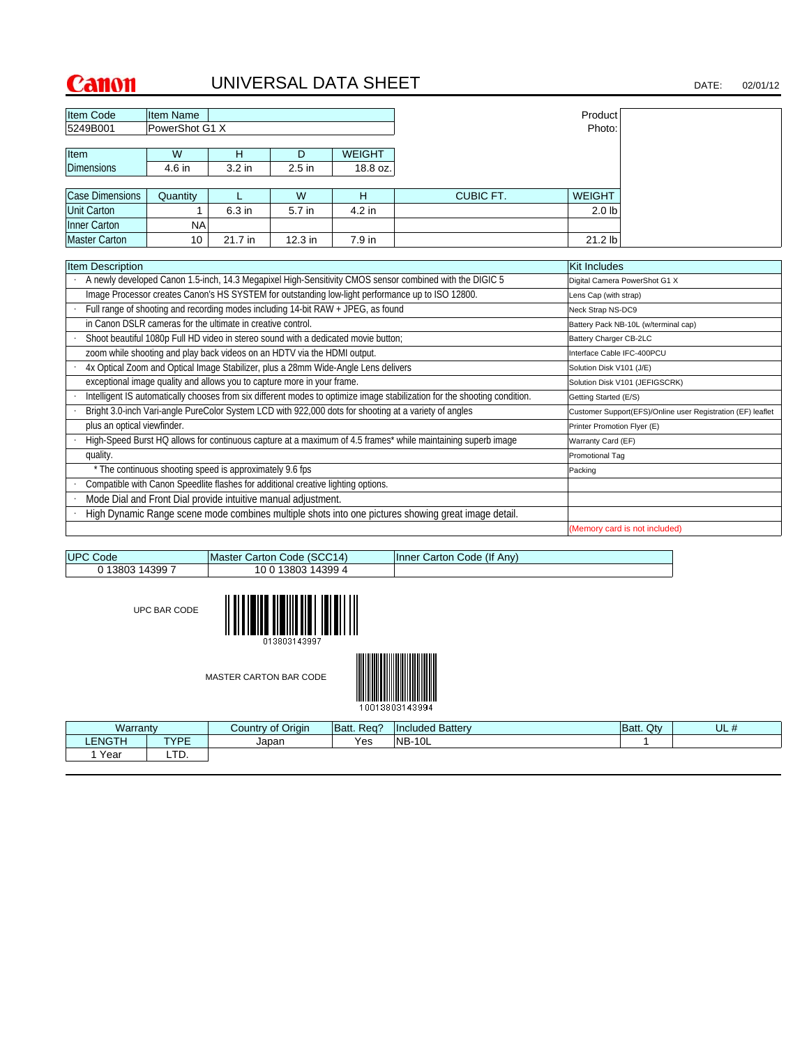LTD.

1 Year

# UNIVERSAL DATA SHEET DATE: 02/01/12

| <b>Item Code</b>            | Item Name                                                                         |                   |         |                                                                                    |                                                                                                                           | Product                     |                                                             |
|-----------------------------|-----------------------------------------------------------------------------------|-------------------|---------|------------------------------------------------------------------------------------|---------------------------------------------------------------------------------------------------------------------------|-----------------------------|-------------------------------------------------------------|
| 5249B001                    | PowerShot G1 X                                                                    |                   |         |                                                                                    |                                                                                                                           | Photo:                      |                                                             |
|                             |                                                                                   |                   |         |                                                                                    |                                                                                                                           |                             |                                                             |
| Item                        | W                                                                                 | H                 | D       | <b>WEIGHT</b>                                                                      |                                                                                                                           |                             |                                                             |
| <b>Dimensions</b>           | 4.6 in                                                                            | 3.2 <sub>in</sub> | 2.5 in  | 18.8 oz.                                                                           |                                                                                                                           |                             |                                                             |
|                             |                                                                                   |                   |         |                                                                                    |                                                                                                                           |                             |                                                             |
| <b>Case Dimensions</b>      | Quantity                                                                          | L                 | W       | H                                                                                  | <b>CUBIC FT.</b>                                                                                                          | <b>WEIGHT</b>               |                                                             |
| <b>Unit Carton</b>          |                                                                                   | 6.3 in            | 5.7 in  | 4.2 in                                                                             |                                                                                                                           | 2.0 <sub>b</sub>            |                                                             |
| Inner Carton                | <b>NA</b>                                                                         |                   |         |                                                                                    |                                                                                                                           |                             |                                                             |
| <b>Master Carton</b>        | 10                                                                                | 21.7 in           | 12.3 in | 7.9 in                                                                             |                                                                                                                           | 21.2 lb                     |                                                             |
|                             |                                                                                   |                   |         |                                                                                    |                                                                                                                           |                             |                                                             |
| <b>Item Description</b>     |                                                                                   |                   |         |                                                                                    |                                                                                                                           | <b>Kit Includes</b>         |                                                             |
|                             |                                                                                   |                   |         |                                                                                    | A newly developed Canon 1.5-inch, 14.3 Megapixel High-Sensitivity CMOS sensor combined with the DIGIC 5                   |                             | Digital Camera PowerShot G1 X                               |
|                             |                                                                                   |                   |         |                                                                                    | Image Processor creates Canon's HS SYSTEM for outstanding low-light performance up to ISO 12800.                          | Lens Cap (with strap)       |                                                             |
|                             |                                                                                   |                   |         | Full range of shooting and recording modes including 14-bit RAW + JPEG, as found   |                                                                                                                           | Neck Strap NS-DC9           |                                                             |
|                             | in Canon DSLR cameras for the ultimate in creative control.                       |                   |         |                                                                                    |                                                                                                                           |                             | Battery Pack NB-10L (w/terminal cap)                        |
|                             |                                                                                   |                   |         | Shoot beautiful 1080p Full HD video in stereo sound with a dedicated movie button; |                                                                                                                           | Battery Charger CB-2LC      |                                                             |
|                             | zoom while shooting and play back videos on an HDTV via the HDMI output.          |                   |         |                                                                                    |                                                                                                                           | Interface Cable IFC-400PCU  |                                                             |
|                             |                                                                                   |                   |         | 4x Optical Zoom and Optical Image Stabilizer, plus a 28mm Wide-Angle Lens delivers |                                                                                                                           | Solution Disk V101 (J/E)    |                                                             |
|                             | exceptional image quality and allows you to capture more in your frame.           |                   |         |                                                                                    |                                                                                                                           |                             | Solution Disk V101 (JEFIGSCRK)                              |
|                             |                                                                                   |                   |         |                                                                                    | Intelligent IS automatically chooses from six different modes to optimize image stabilization for the shooting condition. | Getting Started (E/S)       |                                                             |
|                             |                                                                                   |                   |         |                                                                                    | Bright 3.0-inch Vari-angle PureColor System LCD with 922,000 dots for shooting at a variety of angles                     |                             | Customer Support(EFS)/Online user Registration (EF) leaflet |
| plus an optical viewfinder. |                                                                                   |                   |         |                                                                                    |                                                                                                                           | Printer Promotion Flyer (E) |                                                             |
|                             |                                                                                   |                   |         |                                                                                    | High-Speed Burst HQ allows for continuous capture at a maximum of 4.5 frames* while maintaining superb image              | Warranty Card (EF)          |                                                             |
| quality.                    |                                                                                   |                   |         |                                                                                    |                                                                                                                           | Promotional Tag             |                                                             |
|                             | * The continuous shooting speed is approximately 9.6 fps                          |                   |         |                                                                                    |                                                                                                                           | Packing                     |                                                             |
|                             | Compatible with Canon Speedlite flashes for additional creative lighting options. |                   |         |                                                                                    |                                                                                                                           |                             |                                                             |
|                             | Mode Dial and Front Dial provide intuitive manual adjustment.                     |                   |         |                                                                                    |                                                                                                                           |                             |                                                             |
|                             |                                                                                   |                   |         |                                                                                    | High Dynamic Range scene mode combines multiple shots into one pictures showing great image detail.                       |                             |                                                             |
|                             |                                                                                   |                   |         |                                                                                    |                                                                                                                           |                             | (Memory card is not included)                               |

| <b>UPC Code</b> |              | Master Carton Code (SCC14)    |            | Inner Carton Code (If Any) |           |     |
|-----------------|--------------|-------------------------------|------------|----------------------------|-----------|-----|
| 0 13803 14399 7 |              | 10 0 13803 14399 4            |            |                            |           |     |
|                 | UPC BAR CODE | 013803143997                  |            |                            |           |     |
|                 |              | <b>MASTER CARTON BAR CODE</b> |            | 10013803143994             |           |     |
| Warranty        |              | Country of Origin             | Batt. Req? | <b>Included Battery</b>    | Batt. Qty | UL# |
| <b>LENGTH</b>   | <b>TYPE</b>  | Japan                         | Yes        | <b>NB-10L</b>              |           |     |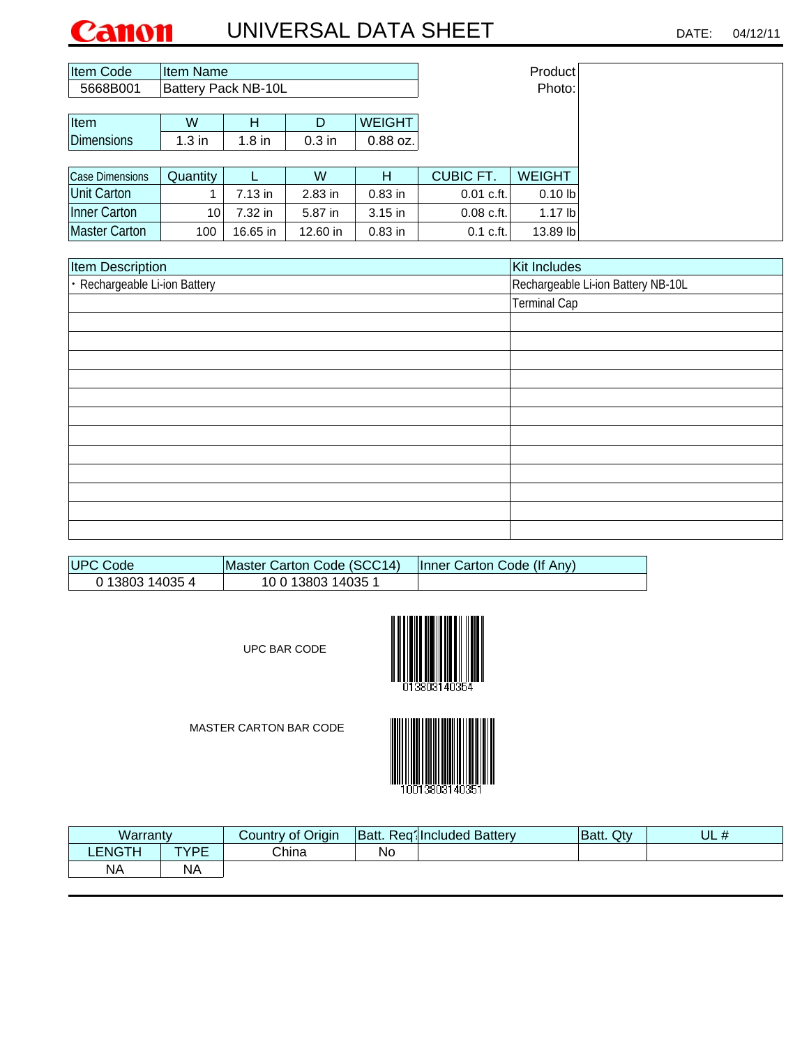## UNIVERSAL DATA SHEET DATE: 04/12/11 Canon

| Item Code         | Item Name                  |          |           |               |                  | Product       |
|-------------------|----------------------------|----------|-----------|---------------|------------------|---------------|
| 5668B001          | <b>Battery Pack NB-10L</b> |          |           | Photo:        |                  |               |
|                   |                            |          |           |               |                  |               |
| <b>Item</b>       | W                          | н        | D         | <b>WEIGHT</b> |                  |               |
| <b>Dimensions</b> | $1.3$ in                   | $1.8$ in | $0.3$ in  | $0.88$ oz.    |                  |               |
|                   |                            |          |           |               |                  |               |
| Case Dimensions   | Quantity                   |          | W         | Н             | <b>CUBIC FT.</b> | <b>WEIGHT</b> |
| Unit Carton       |                            | 7.13 in  | $2.83$ in | $0.83$ in     | $0.01$ c.ft.     | $0.10$ lb     |
| Inner Carton      | 10 <sup>1</sup>            | 7.32 in  | 5.87 in   | $3.15$ in     | $0.08$ c.ft.     | $1.17$ lb     |
| Master Carton     | 100                        | 16.65 in | 12.60 in  | $0.83$ in     | 0.1 c.f.         | $13.89$ lb    |

| <b>Item Description</b>       | Kit Includes                       |
|-------------------------------|------------------------------------|
| · Rechargeable Li-ion Battery | Rechargeable Li-ion Battery NB-10L |
|                               | <b>Terminal Cap</b>                |
|                               |                                    |
|                               |                                    |
|                               |                                    |
|                               |                                    |
|                               |                                    |
|                               |                                    |
|                               |                                    |
|                               |                                    |
|                               |                                    |
|                               |                                    |
|                               |                                    |
|                               |                                    |

| <b>IUPC Code</b> | Master Carton Code (SCC14) | Inner Carton Code (If Any) |
|------------------|----------------------------|----------------------------|
| 0 13803 14035 4  | 10 0 13803 14035 1         |                            |

UPC BAR CODE





| Warranty  |           | Country of Origin | Batt. | Req1Included Battery | Qtv<br>Batt. | . .<br>∪∟ # |
|-----------|-----------|-------------------|-------|----------------------|--------------|-------------|
| LENGTH    | TVDE<br>- | China             | No    |                      |              |             |
| <b>NA</b> | <b>NA</b> |                   |       |                      |              |             |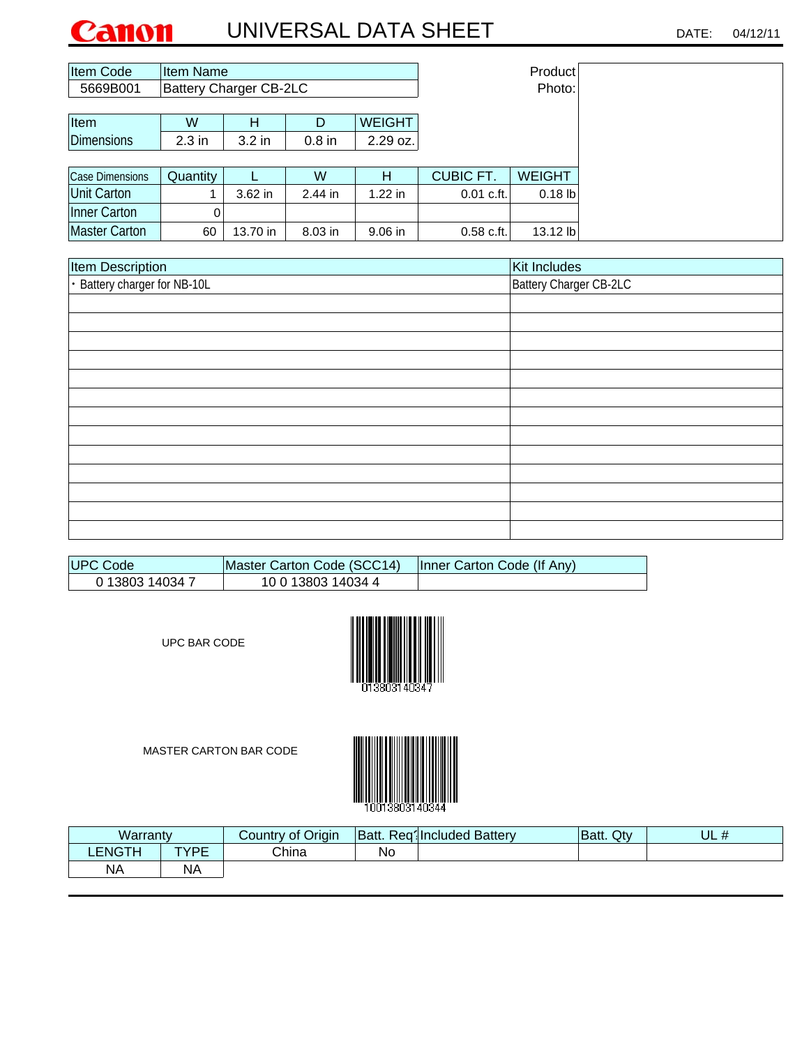## UNIVERSAL DATA SHEET DATE: 04/12/11 Canon

| Item Code            | <b>Item Name</b>              |           |           |               | Product          |            |  |
|----------------------|-------------------------------|-----------|-----------|---------------|------------------|------------|--|
| 5669B001             | <b>Battery Charger CB-2LC</b> |           |           | Photo:        |                  |            |  |
|                      |                               |           |           |               |                  |            |  |
| Item                 | W                             | н         | D         | <b>WEIGHT</b> |                  |            |  |
| <b>Dimensions</b>    | $2.3$ in                      | $3.2$ in  | $0.8$ in  | 2.29 oz.      |                  |            |  |
|                      |                               |           |           |               |                  |            |  |
| Case Dimensions      | Quantity                      |           | W         | н             | <b>CUBIC FT.</b> | WEIGHT     |  |
| Unit Carton          |                               | $3.62$ in | $2.44$ in | $1.22$ in     | $0.01$ c.ft.     | $0.18$ lb  |  |
| Inner Carton         |                               |           |           |               |                  |            |  |
| <b>Master Carton</b> | 60                            | 13.70 in  | $8.03$ in | $9.06$ in     | $0.58$ c.ft.     | $13.12$ lb |  |

| Item Description             | Kit Includes           |
|------------------------------|------------------------|
| · Battery charger for NB-10L | Battery Charger CB-2LC |
|                              |                        |
|                              |                        |
|                              |                        |
|                              |                        |
|                              |                        |
|                              |                        |
|                              |                        |
|                              |                        |
|                              |                        |
|                              |                        |
|                              |                        |
|                              |                        |
|                              |                        |

| ∣UPC Code       | Master Carton Code (SCC14) | Inner Carton Code (If Any) |
|-----------------|----------------------------|----------------------------|
| 0 13803 14034 7 | 10 0 13803 14034 4         |                            |

UPC BAR CODE





| Warranty      |           | Country of Origin | Batt. | Regilncluded Battery | Batt. Qty | UL # |
|---------------|-----------|-------------------|-------|----------------------|-----------|------|
| <b>LENGTH</b> | TVDE<br>- | China             | Νo    |                      |           |      |
| NA            | NΑ        |                   |       |                      |           |      |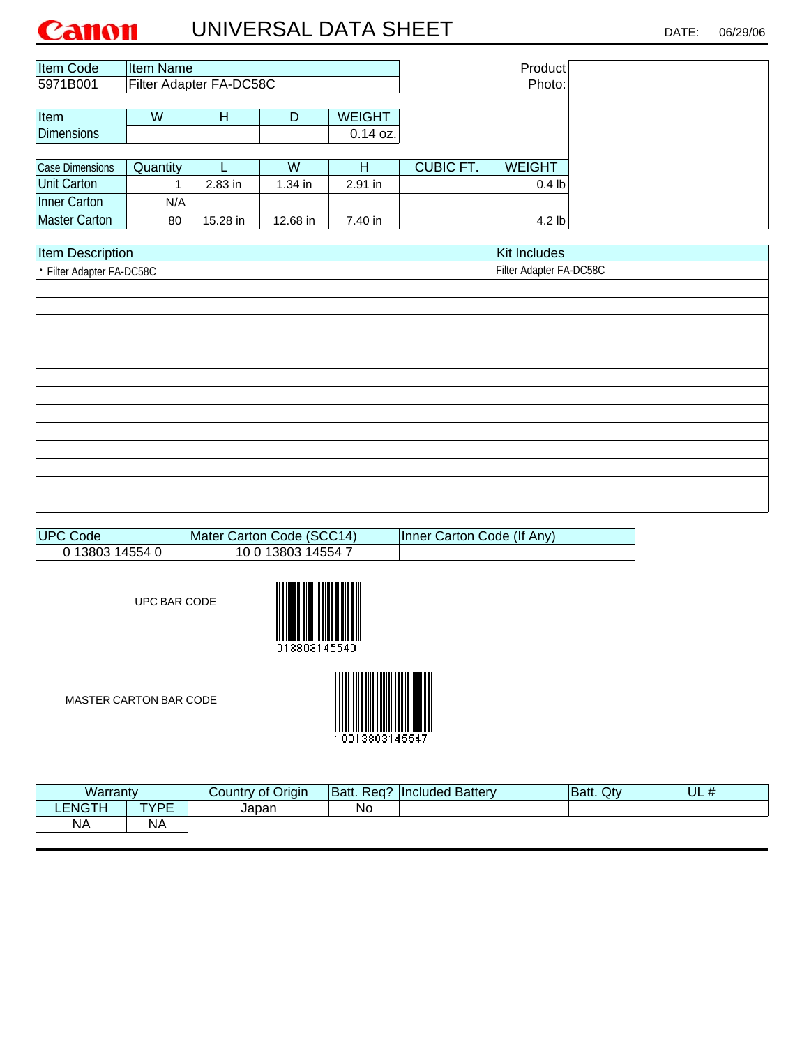| Item Code              | Item Name |                         |           |               | Product          |                   |
|------------------------|-----------|-------------------------|-----------|---------------|------------------|-------------------|
| 5971B001               |           | Filter Adapter FA-DC58C |           | Photo:        |                  |                   |
|                        |           |                         |           |               |                  |                   |
| Item                   | W         | н                       | D         | <b>WEIGHT</b> |                  |                   |
| <b>Dimensions</b>      |           |                         |           | $0.14$ oz.    |                  |                   |
|                        |           |                         |           |               |                  |                   |
| <b>Case Dimensions</b> | Quantity  |                         | W         | н             | <b>CUBIC FT.</b> | <b>WEIGHT</b>     |
| <b>Unit Carton</b>     |           | $2.83$ in               | $1.34$ in | $2.91$ in     |                  | 0.4 <sub>lb</sub> |
| Inner Carton           | N/A       |                         |           |               |                  |                   |
| <b>Master Carton</b>   | 80        | 15.28 in                | 12.68 in  | 7.40 in       |                  | $4.2$ lb          |

| <b>Item Description</b>   | Kit Includes            |
|---------------------------|-------------------------|
| • Filter Adapter FA-DC58C | Filter Adapter FA-DC58C |
|                           |                         |
|                           |                         |
|                           |                         |
|                           |                         |
|                           |                         |
|                           |                         |
|                           |                         |
|                           |                         |
|                           |                         |
|                           |                         |
|                           |                         |
|                           |                         |
|                           |                         |

| UPC Code        | Mater Carton Code (SCC14) | Inner Carton Code (If Any) |
|-----------------|---------------------------|----------------------------|
| 0 13803 14554 0 | 10 0 13803 14554 7        |                            |

UPC BAR CODE





| Warranty      |           | Country of Origin | Req?<br><b>Batt.</b> | <b>Included Battery</b> | Batt. Qty | UL<br>$^{\prime}$<br>$\bm{\pi}$ |
|---------------|-----------|-------------------|----------------------|-------------------------|-----------|---------------------------------|
| <b>LENGTH</b> | TVDE      | Japan             | <b>No</b>            |                         |           |                                 |
| <b>NA</b>     | <b>NA</b> |                   |                      |                         |           |                                 |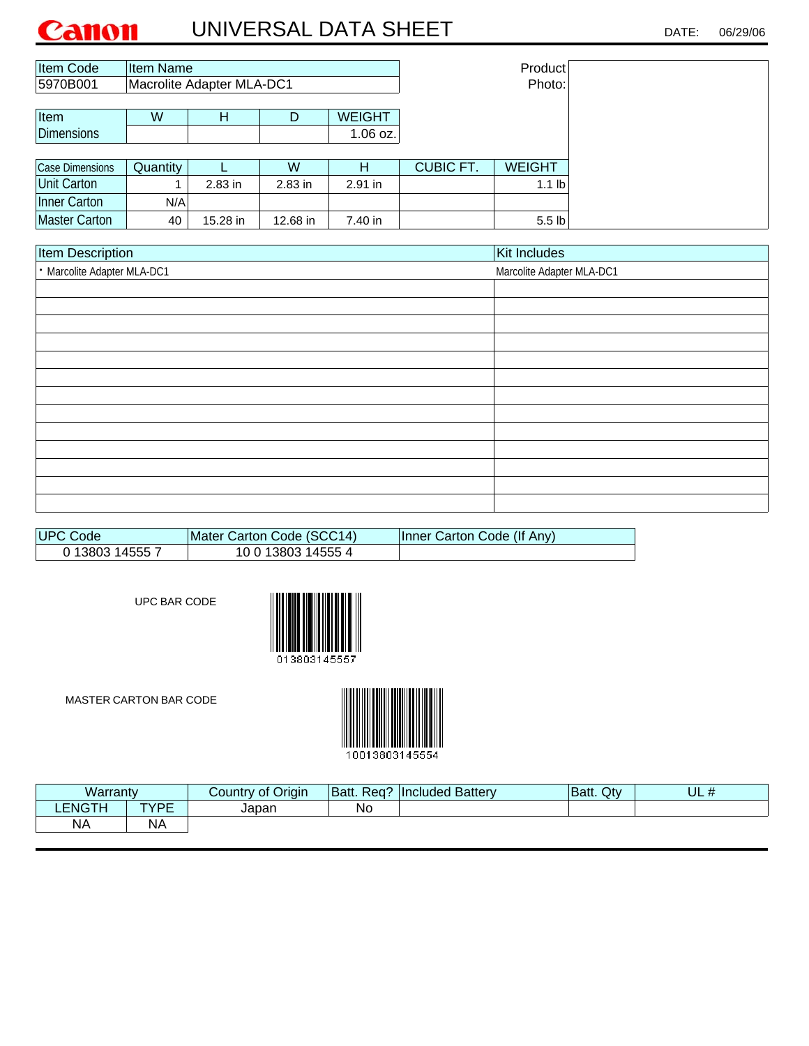| <b>Item Code</b>     | Item Name |                                  |           | Product       |                  |                   |
|----------------------|-----------|----------------------------------|-----------|---------------|------------------|-------------------|
| 5970B001             |           | <b>Macrolite Adapter MLA-DC1</b> |           |               |                  | Photo:            |
|                      |           |                                  |           |               |                  |                   |
| Item                 | W         | н                                | D         | <b>WEIGHT</b> |                  |                   |
| <b>Dimensions</b>    |           |                                  |           | 1.06 oz.      |                  |                   |
|                      |           |                                  |           |               |                  |                   |
| Case Dimensions      | Quantity  |                                  | W         | н             | <b>CUBIC FT.</b> | <b>WEIGHT</b>     |
| <b>Unit Carton</b>   |           | $2.83$ in                        | $2.83$ in | $2.91$ in     |                  | 1.1 <sub>lb</sub> |
| Inner Carton         | N/A       |                                  |           |               |                  |                   |
| <b>Master Carton</b> | 40        | 15.28 in                         | 12.68 in  | 7.40 in       |                  | 5.5 <sub>lb</sub> |

| <b>Item Description</b>     | Kit Includes              |
|-----------------------------|---------------------------|
| · Marcolite Adapter MLA-DC1 | Marcolite Adapter MLA-DC1 |
|                             |                           |
|                             |                           |
|                             |                           |
|                             |                           |
|                             |                           |
|                             |                           |
|                             |                           |
|                             |                           |
|                             |                           |
|                             |                           |
|                             |                           |
|                             |                           |
|                             |                           |

| <b>IUPC Code</b> | Mater Carton Code (SCC14) | Inner Carton Code (If Any) |
|------------------|---------------------------|----------------------------|
| 0 13803 14555 7  | 10 0 13803 14555 4        |                            |

UPC BAR CODE



MASTER CARTON BAR CODE



Warranty | Country of Origin |Batt. Req? |Included Battery |Batt. Qty | UL # TYPE Japan No NA **LENGTH** NA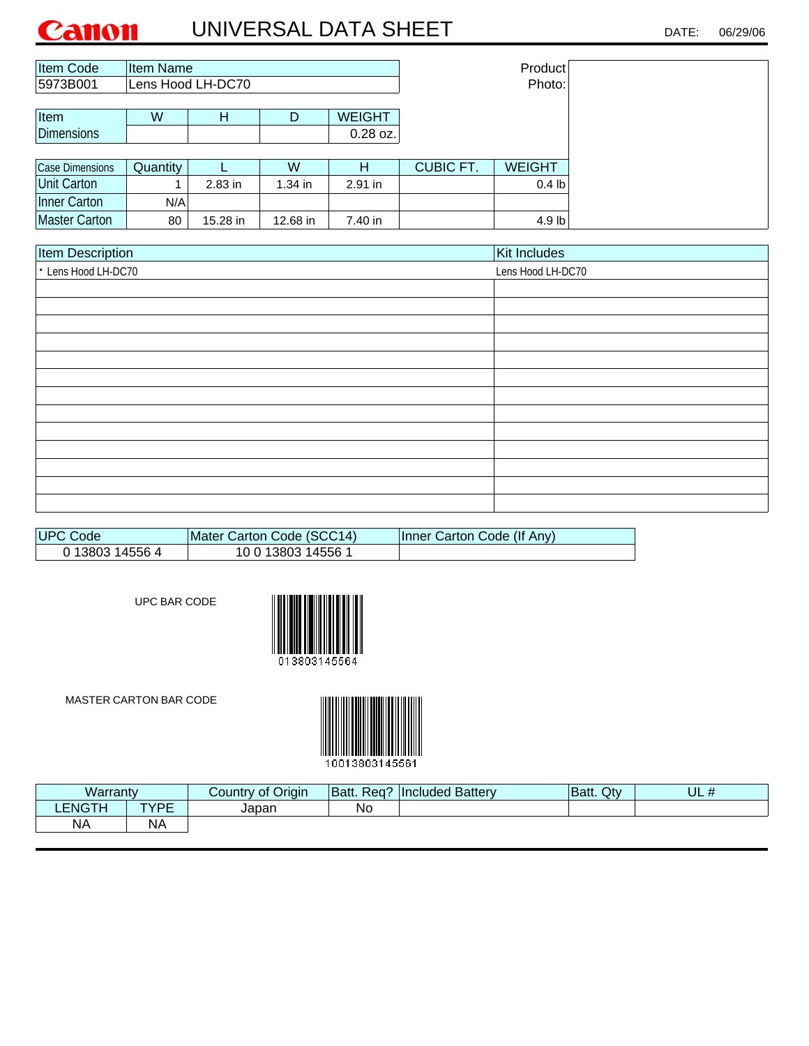| <b>Item Code</b>       | Item Name |                   |           | Product       |                  |                   |
|------------------------|-----------|-------------------|-----------|---------------|------------------|-------------------|
| 5973B001               |           | Lens Hood LH-DC70 |           |               |                  | Photo:            |
|                        |           |                   |           |               |                  |                   |
| Item                   | W         | н                 | D         | <b>WEIGHT</b> |                  |                   |
| Dimensions             |           |                   |           | $0.28$ oz.    |                  |                   |
|                        |           |                   |           |               |                  |                   |
| <b>Case Dimensions</b> | Quantity  |                   | W         | н             | <b>CUBIC FT.</b> | <b>WEIGHT</b>     |
| Unit Carton            |           | $2.83$ in         | $1.34$ in | 2.91 in       |                  | 0.4 <sub>lb</sub> |
| Inner Carton           | N/A       |                   |           |               |                  |                   |
|                        |           |                   |           |               |                  |                   |

| <b>Item Description</b> | Kit Includes      |
|-------------------------|-------------------|
| • Lens Hood LH-DC70     | Lens Hood LH-DC70 |
|                         |                   |
|                         |                   |
|                         |                   |
|                         |                   |
|                         |                   |
|                         |                   |
|                         |                   |
|                         |                   |
|                         |                   |
|                         |                   |
|                         |                   |
|                         |                   |
|                         |                   |

| <b>IUPC Code</b> | Mater Carton Code (SCC14) | Inner Carton Code (If Any) |
|------------------|---------------------------|----------------------------|
| 0 13803 14556 4  | 10 0 13803 14556 1        |                            |

UPC BAR CODE





| .<br>Warrantv |           | of Origin<br>Country | . Req?<br>Batt. | <b>Included Battery</b> | Qty<br>Batt. | UL # |
|---------------|-----------|----------------------|-----------------|-------------------------|--------------|------|
| <b>LENGT!</b> | TVDE<br>- | Japan                | Νc              |                         |              |      |
| <b>NA</b>     | NΑ        |                      |                 |                         |              |      |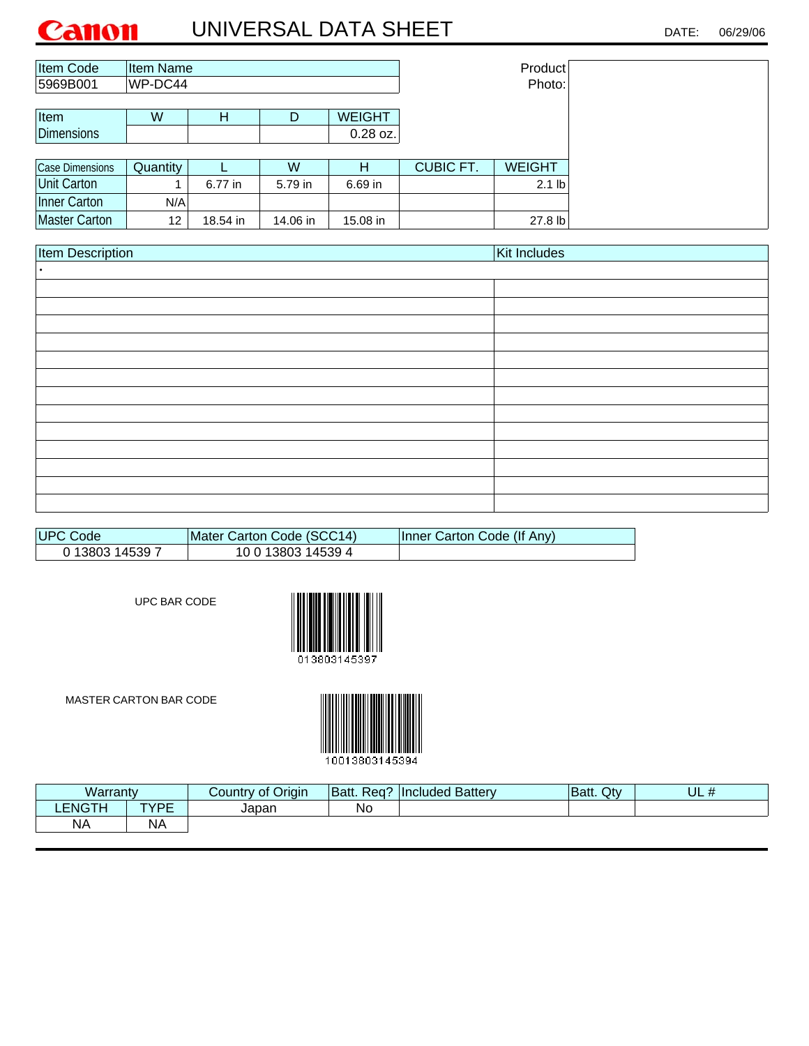| <b>Item Code</b>  | Item Name |          |          | Product       |                  |               |
|-------------------|-----------|----------|----------|---------------|------------------|---------------|
| 5969B001          | WP-DC44   |          |          |               |                  | Photo:        |
|                   |           |          |          |               |                  |               |
| Item              | W         | Н        | D        | <b>WEIGHT</b> |                  |               |
| <b>Dimensions</b> |           |          |          | 0.28 oz.      |                  |               |
|                   |           |          |          |               |                  |               |
| Case Dimensions   | Quantity  |          | W        | н             | <b>CUBIC FT.</b> | <b>WEIGHT</b> |
| Unit Carton       |           | 6.77 in  | 5.79 in  | 6.69 in       |                  | $2.1$ lb      |
| Inner Carton      | N/A       |          |          |               |                  |               |
| Master Carton     | 12        | 18.54 in | 14.06 in | 15.08 in      |                  | 27.8 lb       |

| Item Description | Kit Includes |
|------------------|--------------|
|                  |              |
|                  |              |
|                  |              |
|                  |              |
|                  |              |
|                  |              |
|                  |              |
|                  |              |
|                  |              |
|                  |              |
|                  |              |
|                  |              |
|                  |              |
|                  |              |

| UPC Code        | Mater Carton Code (SCC14) | Inner Carton Code (If Any) |
|-----------------|---------------------------|----------------------------|
| 0 13803 14539 7 | 10 0 13803 14539 4        |                            |

UPC BAR CODE



MASTER CARTON BAR CODE



Warranty Country of Origin |Batt. Req? |Included Battery |Batt. Qty TYPE Japan No NA UL # **LENGTH** NA